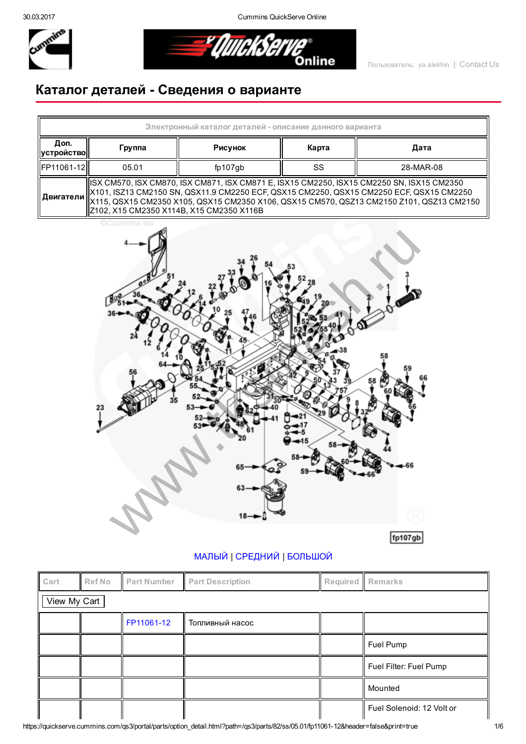30.03.2017 Cummins QuickServe Online



<u> = Umaksa</u> **Online** 

## Каталог деталей Сведения о варианте

| Электронный каталог деталей - описание данного варианта |                                                                                                                                                                                                                                                                                                                                  |         |    |           |  |  |  |
|---------------------------------------------------------|----------------------------------------------------------------------------------------------------------------------------------------------------------------------------------------------------------------------------------------------------------------------------------------------------------------------------------|---------|----|-----------|--|--|--|
| Доп.<br>  устройство                                    | Карта<br>Дата<br>Рисунок<br>Группа                                                                                                                                                                                                                                                                                               |         |    |           |  |  |  |
| FP11061-12                                              | 05.01                                                                                                                                                                                                                                                                                                                            | fp107gb | SS | 28-MAR-08 |  |  |  |
| ∣ Двигатели I                                           | ISX CM570, ISX CM870, ISX CM871, ISX CM871 E, ISX15 CM2250, ISX15 CM2250 SN, ISX15 CM2350<br>  X101, ISZ13 CM2150 SN, QSX11.9 CM2250 ECF, QSX15 CM2250, QSX15 CM2250 ECF, QSX15 CM2250<br>  X115, QSX15 CM2350 X105, QSX15 CM2350 X106, QSX15 CM570, QSZ13 CM2150 Z101, QSZ13 CM2150<br>Z102, X15 CM2350 X114B, X15 CM2350 X116B |         |    |           |  |  |  |



## [МАЛЫЙ](javascript:swap_img() | [СРЕДНИЙ](javascript:swap_img() | [БОЛЬШОЙ](javascript:swap_img()

| Cart | <b>Ref No</b> | <b>Part Number</b> | <b>Part Description</b> |  | Required   Remarks        |  |  |  |
|------|---------------|--------------------|-------------------------|--|---------------------------|--|--|--|
|      | View My Cart  |                    |                         |  |                           |  |  |  |
|      |               | FP11061-12         | Топливный насос         |  |                           |  |  |  |
|      |               |                    |                         |  | Fuel Pump                 |  |  |  |
|      |               |                    |                         |  | Fuel Filter: Fuel Pump    |  |  |  |
|      |               |                    |                         |  | Mounted                   |  |  |  |
|      |               |                    |                         |  | Fuel Solenoid: 12 Volt or |  |  |  |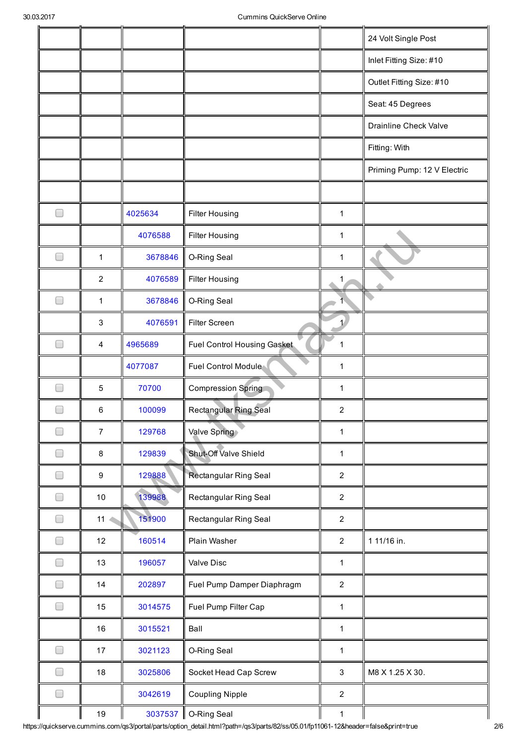|                                  |                  |         |                              |                | 24 Volt Single Post          |
|----------------------------------|------------------|---------|------------------------------|----------------|------------------------------|
|                                  |                  |         |                              |                | Inlet Fitting Size: #10      |
|                                  |                  |         |                              |                | Outlet Fitting Size: #10     |
|                                  |                  |         |                              |                | Seat: 45 Degrees             |
|                                  |                  |         |                              |                | <b>Drainline Check Valve</b> |
|                                  |                  |         |                              |                | Fitting: With                |
|                                  |                  |         |                              |                | Priming Pump: 12 V Electric  |
|                                  |                  |         |                              |                |                              |
| ۰                                |                  | 4025634 | <b>Filter Housing</b>        | $\mathbf{1}$   |                              |
|                                  |                  | 4076588 | <b>Filter Housing</b>        | $\mathbf{1}$   |                              |
| $\overline{\phantom{a}}$         | $\mathbf{1}$     | 3678846 | O-Ring Seal                  | $\mathbf{1}$   |                              |
|                                  | $\overline{c}$   | 4076589 | <b>Filter Housing</b>        | 1              |                              |
| ۰                                | 1                | 3678846 | O-Ring Seal                  |                |                              |
|                                  | $\sqrt{3}$       | 4076591 | Filter Screen                | $\mathbf{1}$   |                              |
|                                  | 4                | 4965689 | Fuel Control Housing Gasket  | 1              |                              |
|                                  |                  | 4077087 | Fuel Control Module          | $\mathbf{1}$   |                              |
|                                  | $\sqrt{5}$       | 70700   | <b>Compression Spring</b>    | 1              |                              |
|                                  | 6                | 100099  | <b>Rectangular Ring Seal</b> | $\overline{c}$ |                              |
|                                  | $\overline{7}$   | 129768  | Valve Spring                 | $\mathbf{1}$   |                              |
| $\Box$                           | 8                | 129839  | Shut-Off Valve Shield        | $\mathbf{1}$   |                              |
|                                  | $\boldsymbol{9}$ | 129888  | Rectangular Ring Seal        | $\overline{2}$ |                              |
| $\Box$                           | $10$             | 139988  | Rectangular Ring Seal        | $\overline{2}$ |                              |
| $\Box$                           | 11               | 151900  | Rectangular Ring Seal        | $\overline{2}$ |                              |
| $\begin{array}{ccc} \end{array}$ | 12               | 160514  | Plain Washer                 | $\overline{2}$ | 1 11/16 in.                  |
| $\Box$                           | 13               | 196057  | Valve Disc                   | $\mathbf{1}$   |                              |
| $\Box$                           | 14               | 202897  | Fuel Pump Damper Diaphragm   | $\overline{2}$ |                              |
| $\Box$                           | 15               | 3014575 | Fuel Pump Filter Cap         | $\mathbf{1}$   |                              |
|                                  | 16               | 3015521 | Ball                         | $\mathbf{1}$   |                              |
| $\Box$                           | 17               | 3021123 | O-Ring Seal                  | $\mathbf{1}$   |                              |
| $\Box$                           | 18               | 3025806 | Socket Head Cap Screw        | 3              | M8 X 1.25 X 30.              |
| $\Box$                           |                  | 3042619 | <b>Coupling Nipple</b>       | $\overline{2}$ |                              |
|                                  | 19               | 3037537 | O-Ring Seal                  | $\mathbf{1}$   |                              |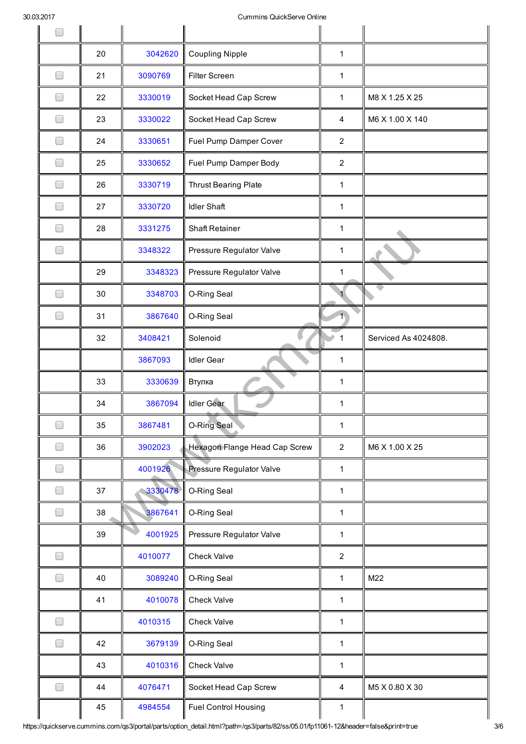| 30.03.2017                       |    |         | Cummins QuickServe Online     |                |                      |
|----------------------------------|----|---------|-------------------------------|----------------|----------------------|
| $\overline{\phantom{a}}$         |    |         |                               |                |                      |
|                                  | 20 | 3042620 | <b>Coupling Nipple</b>        | $\mathbf 1$    |                      |
| $\Box$                           | 21 | 3090769 | <b>Filter Screen</b>          | $\mathbf 1$    |                      |
| $\overline{\phantom{a}}$         | 22 | 3330019 | Socket Head Cap Screw         | 1              | M8 X 1.25 X 25       |
| $\overline{\phantom{a}}$         | 23 | 3330022 | Socket Head Cap Screw         | 4              | M6 X 1.00 X 140      |
| $\begin{array}{ccc} \end{array}$ | 24 | 3330651 | Fuel Pump Damper Cover        | $\overline{2}$ |                      |
| $\Box$                           | 25 | 3330652 | Fuel Pump Damper Body         | $\overline{2}$ |                      |
| ۰                                | 26 | 3330719 | <b>Thrust Bearing Plate</b>   | $\mathbf{1}$   |                      |
| ۰                                | 27 | 3330720 | <b>Idler Shaft</b>            | 1              |                      |
| <b>Simulation</b>                | 28 | 3331275 | <b>Shaft Retainer</b>         | $\mathbf 1$    |                      |
| $\Box$                           |    | 3348322 | Pressure Regulator Valve      | 1              |                      |
|                                  | 29 | 3348323 | Pressure Regulator Valve      | 1              |                      |
| $\Box$                           | 30 | 3348703 | O-Ring Seal                   |                |                      |
| $\Box$                           | 31 | 3867640 | O-Ring Seal                   | $\overline{1}$ |                      |
|                                  | 32 | 3408421 | Solenoid                      | 1              | Serviced As 4024808. |
|                                  |    | 3867093 | <b>Idler Gear</b>             | $\mathbf{1}$   |                      |
|                                  | 33 | 3330639 | Втулка                        | $\mathbf 1$    |                      |
|                                  | 34 | 3867094 | <b>Idler Gear</b>             | 1              |                      |
| $\Box$                           | 35 | 3867481 | <b>O-Ring Seal</b>            | 1              |                      |
| $\Box$                           | 36 | 3902023 | Hexagon Flange Head Cap Screw | $\overline{2}$ | M6 X 1.00 X 25       |
| $\Box$                           |    | 4001926 | Pressure Regulator Valve      | $\mathbf{1}$   |                      |
| $\Box$                           | 37 | 3330478 | O-Ring Seal                   | 1              |                      |
| $\Box$                           | 38 | 3867641 | O-Ring Seal                   | $\mathbf{1}$   |                      |
|                                  | 39 | 4001925 | Pressure Regulator Valve      | $\mathbf{1}$   |                      |
| $\Box$                           |    | 4010077 | <b>Check Valve</b>            | $\overline{2}$ |                      |
| $\Box$                           | 40 | 3089240 | O-Ring Seal                   | 1              | M22                  |
|                                  | 41 | 4010078 | <b>Check Valve</b>            | $\mathbf{1}$   |                      |
| $\Box$                           |    | 4010315 | <b>Check Valve</b>            | $\mathbf{1}$   |                      |
| $\Box$                           | 42 | 3679139 | O-Ring Seal                   | 1              |                      |
|                                  | 43 | 4010316 | <b>Check Valve</b>            | 1              |                      |
| $\Box$                           | 44 | 4076471 | Socket Head Cap Screw         | 4              | M5 X 0.80 X 30       |
|                                  | 45 | 4984554 | <b>Fuel Control Housing</b>   | 1              |                      |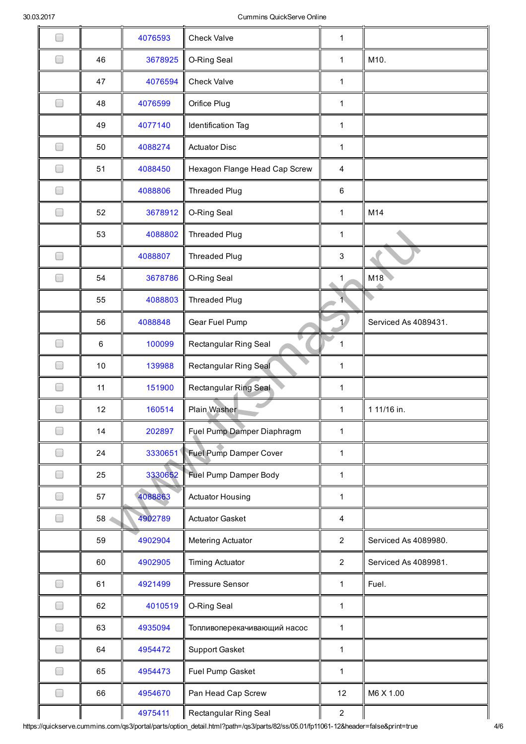|                          |         | 4076593 | <b>Check Valve</b>            | 1              |                      |
|--------------------------|---------|---------|-------------------------------|----------------|----------------------|
| $\Box$                   | 46      | 3678925 | O-Ring Seal                   | 1              | M10.                 |
|                          | 47      | 4076594 | <b>Check Valve</b>            | $\mathbf{1}$   |                      |
| $\Box$                   | 48      | 4076599 | Orifice Plug                  | $\mathbf 1$    |                      |
|                          | 49      | 4077140 | Identification Tag            | 1              |                      |
| $\Box$                   | 50      | 4088274 | <b>Actuator Disc</b>          | 1              |                      |
|                          | 51      | 4088450 | Hexagon Flange Head Cap Screw | 4              |                      |
| ┓                        |         | 4088806 | <b>Threaded Plug</b>          | 6              |                      |
| ۰                        | 52      | 3678912 | O-Ring Seal                   | 1              | M14                  |
|                          | 53      | 4088802 | Threaded Plug                 | $\mathbf 1$    |                      |
|                          |         | 4088807 | <b>Threaded Plug</b>          | 3              |                      |
| $\Box$                   | 54      | 3678786 | O-Ring Seal                   | 1              | M18                  |
|                          | 55      | 4088803 | <b>Threaded Plug</b>          | $\overline{1}$ |                      |
|                          | 56      | 4088848 | Gear Fuel Pump                | $\mathbf{1}$   | Serviced As 4089431. |
|                          | $\,6\,$ | 100099  | Rectangular Ring Seal         | $\mathbf{1}$   |                      |
|                          | 10      | 139988  | Rectangular Ring Seal         | $\mathbf 1$    |                      |
|                          | 11      | 151900  | Rectangular Ring Seal         | 1              |                      |
|                          | 12      | 160514  | Plain Washer                  | $\mathbf 1$    | 1 11/16 in.          |
| $\overline{\phantom{a}}$ | 14      | 202897  | Fuel Pump Damper Diaphragm    | $\mathbf{1}$   |                      |
|                          | 24      | 3330651 | <b>Fuel Pump Damper Cover</b> | $\mathbf{1}$   |                      |
|                          | 25      | 3330652 | <b>Fuel Pump Damper Body</b>  | 1              |                      |
|                          | 57      | 4088863 | <b>Actuator Housing</b>       | $\mathbf{1}$   |                      |
| $\overline{\phantom{a}}$ | 58      | 4902789 | <b>Actuator Gasket</b>        | 4              |                      |
|                          | 59      | 4902904 | Metering Actuator             | $\overline{2}$ | Serviced As 4089980. |
|                          | 60      | 4902905 | <b>Timing Actuator</b>        | $\overline{2}$ | Serviced As 4089981. |
| <b>I</b>                 | 61      | 4921499 | Pressure Sensor               | 1              | Fuel.                |
| $\overline{\phantom{a}}$ | 62      | 4010519 | O-Ring Seal                   | $\mathbf{1}$   |                      |
|                          | 63      | 4935094 | Топливоперекачивающий насос   | $\mathbf 1$    |                      |
|                          | 64      | 4954472 | <b>Support Gasket</b>         | 1              |                      |
|                          | 65      | 4954473 | Fuel Pump Gasket              | 1              |                      |
| m.                       | 66      | 4954670 | Pan Head Cap Screw            | 12             | M6 X 1.00            |
|                          |         | 4975411 | Rectangular Ring Seal         | $\overline{2}$ |                      |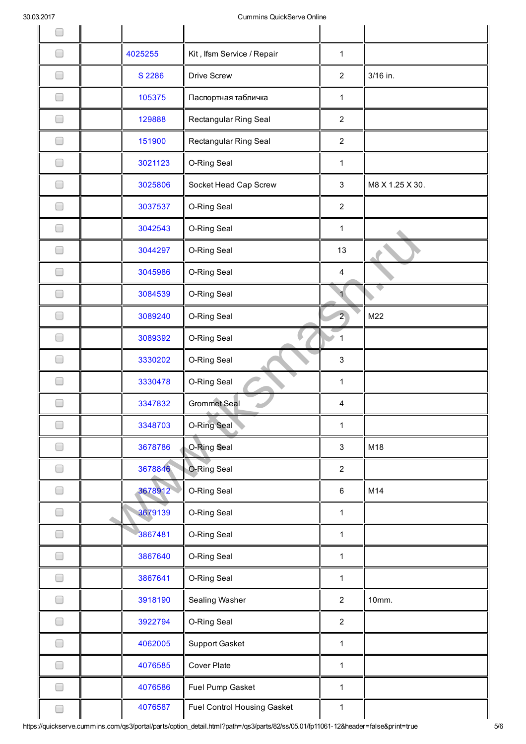| ~~~<br>$\Box$            |         | annuno warokoor ve Orimie   |                           |                 |
|--------------------------|---------|-----------------------------|---------------------------|-----------------|
| $\Box$                   | 4025255 | Kit, Ifsm Service / Repair  | $\mathbf{1}$              |                 |
| $\Box$                   | S 2286  | <b>Drive Screw</b>          | $\overline{2}$            | 3/16 in.        |
| $\Box$                   | 105375  | Паспортная табличка         | $\mathbf{1}$              |                 |
|                          | 129888  | Rectangular Ring Seal       | $\overline{2}$            |                 |
| $\overline{\phantom{0}}$ | 151900  | Rectangular Ring Seal       | $\overline{2}$            |                 |
| $\Box$                   | 3021123 | O-Ring Seal                 | $\mathbf{1}$              |                 |
| $\Box$                   | 3025806 | Socket Head Cap Screw       | 3                         | M8 X 1.25 X 30. |
| □                        | 3037537 | O-Ring Seal                 | $\overline{2}$            |                 |
|                          | 3042543 | O-Ring Seal                 | 1                         |                 |
| $\Box$                   | 3044297 | O-Ring Seal                 | 13                        |                 |
| $\overline{\phantom{a}}$ | 3045986 | O-Ring Seal                 | 4                         |                 |
| $\Box$                   | 3084539 | O-Ring Seal                 |                           |                 |
| $\overline{\phantom{0}}$ | 3089240 | O-Ring Seal                 | $\overline{2}$            | M22             |
|                          | 3089392 | O-Ring Seal                 | $\mathbf{1}$              |                 |
|                          | 3330202 | O-Ring Seal                 | $\ensuremath{\mathsf{3}}$ |                 |
|                          | 3330478 | O-Ring Seal                 | 1                         |                 |
| ۰                        | 3347832 | <b>Grommet Seal</b>         | 4                         |                 |
| $\Box$                   | 3348703 | O-Ring Seal                 | $\mathbf{1}$              |                 |
| □                        | 3678786 | O-Ring Seal                 | $\ensuremath{\mathsf{3}}$ | M18             |
| $\Box$                   | 3678846 | O-Ring Seal                 | $\overline{2}$            |                 |
| $\Box$                   | 3678912 | O-Ring Seal                 | $\,6\,$                   | M14             |
| $\Box$                   | 3679139 | O-Ring Seal                 | $\mathbf{1}$              |                 |
| $\overline{\phantom{a}}$ | 3867481 | O-Ring Seal                 | $\mathbf{1}$              |                 |
| $\Box$                   | 3867640 | O-Ring Seal                 | $\mathbf{1}$              |                 |
| $\Box$                   | 3867641 | O-Ring Seal                 | $\mathbf{1}$              |                 |
| $\Box$                   | 3918190 | Sealing Washer              | $\overline{2}$            | 10mm.           |
| $\Box$                   | 3922794 | O-Ring Seal                 | $\overline{2}$            |                 |
| $\Box$                   | 4062005 | Support Gasket              | $\mathbf{1}$              |                 |
| ۰                        | 4076585 | Cover Plate                 | $\mathbf{1}$              |                 |
|                          | 4076586 | Fuel Pump Gasket            | $\mathbf{1}$              |                 |
| ۰                        | 4076587 | Fuel Control Housing Gasket | 1                         |                 |